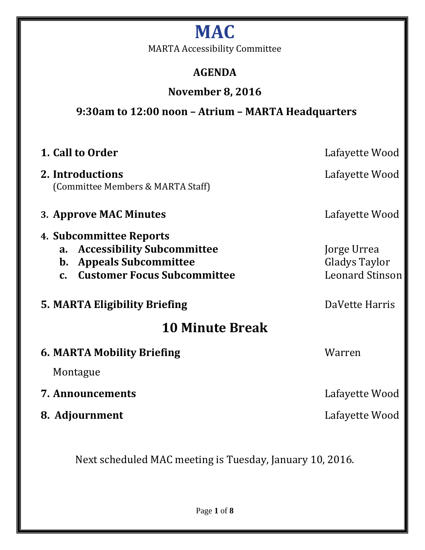# **MAC**

MARTA Accessibility Committee

# **AGENDA**

# **November 8, 2016**

**9:30am to 12:00 noon – Atrium – MARTA Headquarters**

| 1. Call to Order                                                                                                                                                                     | Lafayette Wood                                         |
|--------------------------------------------------------------------------------------------------------------------------------------------------------------------------------------|--------------------------------------------------------|
| 2. Introductions<br>(Committee Members & MARTA Staff)                                                                                                                                | Lafayette Wood                                         |
| 3. Approve MAC Minutes                                                                                                                                                               | Lafayette Wood                                         |
| 4. Subcommittee Reports<br><b>Accessibility Subcommittee</b><br>$a_{\cdot}$<br><b>Appeals Subcommittee</b><br>$\mathbf{b}$ .<br><b>Customer Focus Subcommittee</b><br>$\mathbf{C}$ . | Jorge Urrea<br>Gladys Taylor<br><b>Leonard Stinson</b> |
| <b>5. MARTA Eligibility Briefing</b>                                                                                                                                                 | DaVette Harris                                         |
| <b>10 Minute Break</b>                                                                                                                                                               |                                                        |
| <b>6. MARTA Mobility Briefing</b>                                                                                                                                                    | Warren                                                 |
| Montague                                                                                                                                                                             |                                                        |
| <b>7. Announcements</b>                                                                                                                                                              | Lafayette Wood                                         |
| 8. Adjournment                                                                                                                                                                       | Lafayette Wood                                         |
|                                                                                                                                                                                      |                                                        |

Next scheduled MAC meeting is Tuesday, January 10, 2016.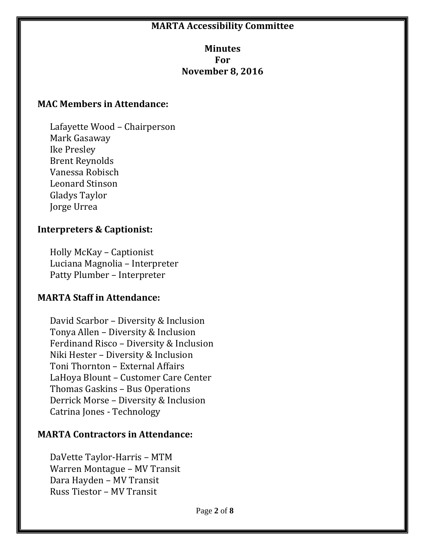#### **MARTA Accessibility Committee**

#### **Minutes For November 8, 2016**

#### **MAC Members in Attendance:**

Lafayette Wood – Chairperson Mark Gasaway Ike Presley Brent Reynolds Vanessa Robisch Leonard Stinson Gladys Taylor Jorge Urrea

#### **Interpreters & Captionist:**

Holly McKay – Captionist Luciana Magnolia – Interpreter Patty Plumber – Interpreter

#### **MARTA Staff in Attendance:**

David Scarbor – Diversity & Inclusion Tonya Allen – Diversity & Inclusion Ferdinand Risco – Diversity & Inclusion Niki Hester – Diversity & Inclusion Toni Thornton – External Affairs LaHoya Blount – Customer Care Center Thomas Gaskins – Bus Operations Derrick Morse – Diversity & Inclusion Catrina Jones - Technology

#### **MARTA Contractors in Attendance:**

DaVette Taylor-Harris – MTM Warren Montague – MV Transit Dara Hayden – MV Transit Russ Tiestor – MV Transit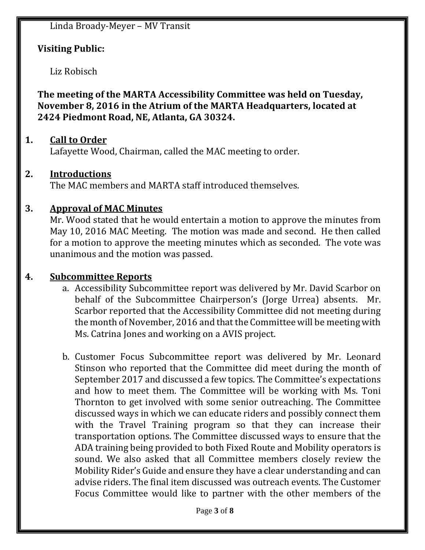Linda Broady-Meyer – MV Transit

#### **Visiting Public:**

Liz Robisch

**The meeting of the MARTA Accessibility Committee was held on Tuesday, November 8, 2016 in the Atrium of the MARTA Headquarters, located at 2424 Piedmont Road, NE, Atlanta, GA 30324.**

#### **1. Call to Order**

Lafayette Wood, Chairman, called the MAC meeting to order.

#### **2. Introductions**

The MAC members and MARTA staff introduced themselves.

#### **3. Approval of MAC Minutes**

Mr. Wood stated that he would entertain a motion to approve the minutes from May 10, 2016 MAC Meeting. The motion was made and second. He then called for a motion to approve the meeting minutes which as seconded. The vote was unanimous and the motion was passed.

#### **4. Subcommittee Reports**

- a. Accessibility Subcommittee report was delivered by Mr. David Scarbor on behalf of the Subcommittee Chairperson's (Jorge Urrea) absents. Mr. Scarbor reported that the Accessibility Committee did not meeting during the month of November, 2016 and that the Committee will be meeting with Ms. Catrina Jones and working on a AVIS project.
- b. Customer Focus Subcommittee report was delivered by Mr. Leonard Stinson who reported that the Committee did meet during the month of September 2017 and discussed a few topics. The Committee's expectations and how to meet them. The Committee will be working with Ms. Toni Thornton to get involved with some senior outreaching. The Committee discussed ways in which we can educate riders and possibly connect them with the Travel Training program so that they can increase their transportation options. The Committee discussed ways to ensure that the ADA training being provided to both Fixed Route and Mobility operators is sound. We also asked that all Committee members closely review the Mobility Rider's Guide and ensure they have a clear understanding and can advise riders. The final item discussed was outreach events. The Customer Focus Committee would like to partner with the other members of the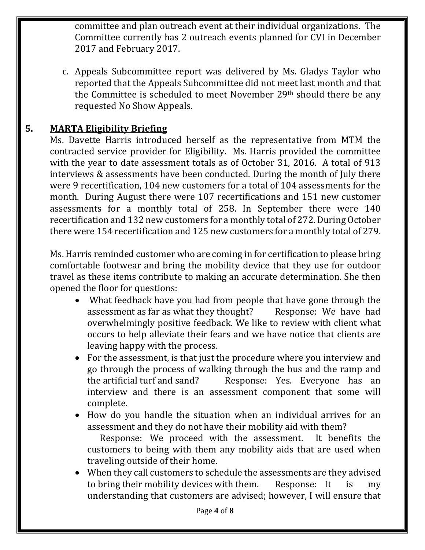committee and plan outreach event at their individual organizations. The Committee currently has 2 outreach events planned for CVI in December 2017 and February 2017.

c. Appeals Subcommittee report was delivered by Ms. Gladys Taylor who reported that the Appeals Subcommittee did not meet last month and that the Committee is scheduled to meet November 29<sup>th</sup> should there be any requested No Show Appeals.

#### **5. MARTA Eligibility Briefing**

Ms. Davette Harris introduced herself as the representative from MTM the contracted service provider for Eligibility. Ms. Harris provided the committee with the year to date assessment totals as of October 31, 2016. A total of 913 interviews & assessments have been conducted. During the month of July there were 9 recertification, 104 new customers for a total of 104 assessments for the month. During August there were 107 recertifications and 151 new customer assessments for a monthly total of 258. In September there were 140 recertification and 132 new customers for a monthly total of 272. During October there were 154 recertification and 125 new customers for a monthly total of 279.

Ms. Harris reminded customer who are coming in for certification to please bring comfortable footwear and bring the mobility device that they use for outdoor travel as these items contribute to making an accurate determination. She then opened the floor for questions:

- What feedback have you had from people that have gone through the assessment as far as what they thought? Response: We have had overwhelmingly positive feedback. We like to review with client what occurs to help alleviate their fears and we have notice that clients are leaving happy with the process.
- For the assessment, is that just the procedure where you interview and go through the process of walking through the bus and the ramp and the artificial turf and sand? Response: Yes. Everyone has an interview and there is an assessment component that some will complete.
- How do you handle the situation when an individual arrives for an assessment and they do not have their mobility aid with them?

Response: We proceed with the assessment. It benefits the customers to being with them any mobility aids that are used when traveling outside of their home.

 When they call customers to schedule the assessments are they advised to bring their mobility devices with them. Response: It is my understanding that customers are advised; however, I will ensure that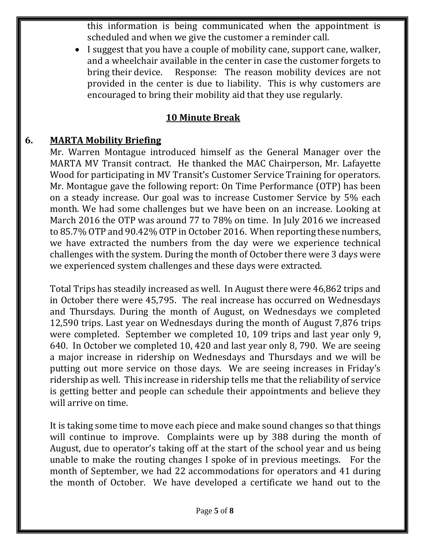this information is being communicated when the appointment is scheduled and when we give the customer a reminder call.

 I suggest that you have a couple of mobility cane, support cane, walker, and a wheelchair available in the center in case the customer forgets to bring their device. Response: The reason mobility devices are not provided in the center is due to liability. This is why customers are encouraged to bring their mobility aid that they use regularly.

## **10 Minute Break**

### **6. MARTA Mobility Briefing**

Mr. Warren Montague introduced himself as the General Manager over the MARTA MV Transit contract. He thanked the MAC Chairperson, Mr. Lafayette Wood for participating in MV Transit's Customer Service Training for operators. Mr. Montague gave the following report: On Time Performance (OTP) has been on a steady increase. Our goal was to increase Customer Service by 5% each month. We had some challenges but we have been on an increase. Looking at March 2016 the OTP was around 77 to 78% on time. In July 2016 we increased to 85.7% OTP and 90.42% OTP in October 2016. When reporting these numbers, we have extracted the numbers from the day were we experience technical challenges with the system. During the month of October there were 3 days were we experienced system challenges and these days were extracted.

Total Trips has steadily increased as well. In August there were 46,862 trips and in October there were 45,795. The real increase has occurred on Wednesdays and Thursdays. During the month of August, on Wednesdays we completed 12,590 trips. Last year on Wednesdays during the month of August 7,876 trips were completed. September we completed 10, 109 trips and last year only 9, 640. In October we completed 10, 420 and last year only 8, 790. We are seeing a major increase in ridership on Wednesdays and Thursdays and we will be putting out more service on those days. We are seeing increases in Friday's ridership as well. This increase in ridership tells me that the reliability of service is getting better and people can schedule their appointments and believe they will arrive on time.

It is taking some time to move each piece and make sound changes so that things will continue to improve. Complaints were up by 388 during the month of August, due to operator's taking off at the start of the school year and us being unable to make the routing changes I spoke of in previous meetings. For the month of September, we had 22 accommodations for operators and 41 during the month of October. We have developed a certificate we hand out to the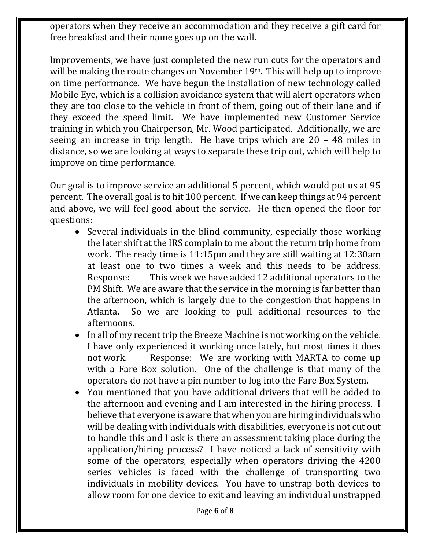operators when they receive an accommodation and they receive a gift card for free breakfast and their name goes up on the wall.

Improvements, we have just completed the new run cuts for the operators and will be making the route changes on November 19<sup>th</sup>. This will help up to improve on time performance. We have begun the installation of new technology called Mobile Eye, which is a collision avoidance system that will alert operators when they are too close to the vehicle in front of them, going out of their lane and if they exceed the speed limit. We have implemented new Customer Service training in which you Chairperson, Mr. Wood participated. Additionally, we are seeing an increase in trip length. He have trips which are 20 – 48 miles in distance, so we are looking at ways to separate these trip out, which will help to improve on time performance.

Our goal is to improve service an additional 5 percent, which would put us at 95 percent. The overall goal is to hit 100 percent. If we can keep things at 94 percent and above, we will feel good about the service. He then opened the floor for questions:

- Several individuals in the blind community, especially those working the later shift at the IRS complain to me about the return trip home from work. The ready time is 11:15pm and they are still waiting at 12:30am at least one to two times a week and this needs to be address. Response: This week we have added 12 additional operators to the PM Shift. We are aware that the service in the morning is far better than the afternoon, which is largely due to the congestion that happens in Atlanta. So we are looking to pull additional resources to the afternoons.
- In all of my recent trip the Breeze Machine is not working on the vehicle. I have only experienced it working once lately, but most times it does not work. Response: We are working with MARTA to come up with a Fare Box solution. One of the challenge is that many of the operators do not have a pin number to log into the Fare Box System.
- You mentioned that you have additional drivers that will be added to the afternoon and evening and I am interested in the hiring process. I believe that everyone is aware that when you are hiring individuals who will be dealing with individuals with disabilities, everyone is not cut out to handle this and I ask is there an assessment taking place during the application/hiring process? I have noticed a lack of sensitivity with some of the operators, especially when operators driving the 4200 series vehicles is faced with the challenge of transporting two individuals in mobility devices. You have to unstrap both devices to allow room for one device to exit and leaving an individual unstrapped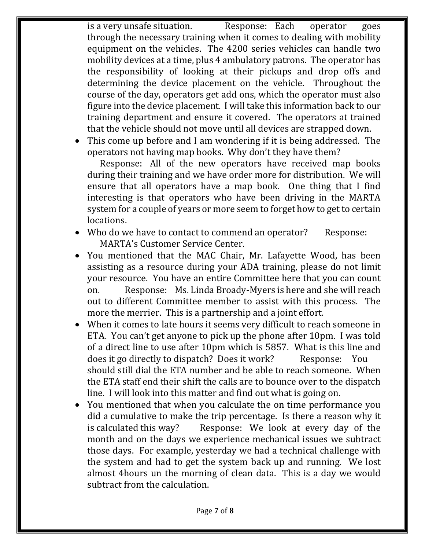is a very unsafe situation. Response: Each operator goes through the necessary training when it comes to dealing with mobility equipment on the vehicles. The 4200 series vehicles can handle two mobility devices at a time, plus 4 ambulatory patrons. The operator has the responsibility of looking at their pickups and drop offs and determining the device placement on the vehicle. Throughout the course of the day, operators get add ons, which the operator must also figure into the device placement. I will take this information back to our training department and ensure it covered. The operators at trained that the vehicle should not move until all devices are strapped down.

 This come up before and I am wondering if it is being addressed. The operators not having map books. Why don't they have them?

Response: All of the new operators have received map books during their training and we have order more for distribution. We will ensure that all operators have a map book. One thing that I find interesting is that operators who have been driving in the MARTA system for a couple of years or more seem to forget how to get to certain locations.

- Who do we have to contact to commend an operator? Response: MARTA's Customer Service Center.
- You mentioned that the MAC Chair, Mr. Lafayette Wood, has been assisting as a resource during your ADA training, please do not limit your resource. You have an entire Committee here that you can count on. Response: Ms. Linda Broady-Myers is here and she will reach out to different Committee member to assist with this process. The more the merrier. This is a partnership and a joint effort.
- When it comes to late hours it seems very difficult to reach someone in ETA. You can't get anyone to pick up the phone after 10pm. I was told of a direct line to use after 10pm which is 5857. What is this line and does it go directly to dispatch? Does it work? Response: You should still dial the ETA number and be able to reach someone. When the ETA staff end their shift the calls are to bounce over to the dispatch line. I will look into this matter and find out what is going on.
- You mentioned that when you calculate the on time performance you did a cumulative to make the trip percentage. Is there a reason why it is calculated this way? Response: We look at every day of the month and on the days we experience mechanical issues we subtract those days. For example, yesterday we had a technical challenge with the system and had to get the system back up and running. We lost almost 4hours un the morning of clean data. This is a day we would subtract from the calculation.